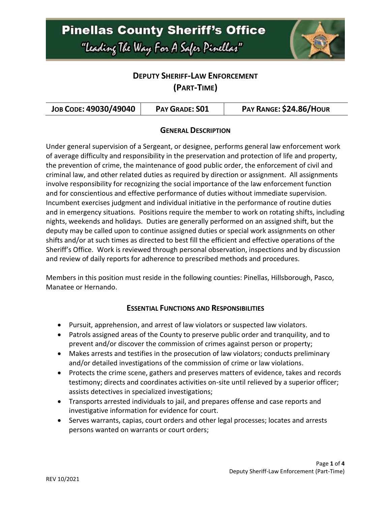

### **DEPUTY SHERIFF-LAW ENFORCEMENT (PART-TIME)**

| JOB CODE: 49030/49040 | PAY GRADE: SO1 | PAY RANGE: \$24.86/HOUR |
|-----------------------|----------------|-------------------------|
|-----------------------|----------------|-------------------------|

#### **GENERAL DESCRIPTION**

Under general supervision of a Sergeant, or designee, performs general law enforcement work of average difficulty and responsibility in the preservation and protection of life and property, the prevention of crime, the maintenance of good public order, the enforcement of civil and criminal law, and other related duties as required by direction or assignment. All assignments involve responsibility for recognizing the social importance of the law enforcement function and for conscientious and effective performance of duties without immediate supervision. Incumbent exercises judgment and individual initiative in the performance of routine duties and in emergency situations. Positions require the member to work on rotating shifts, including nights, weekends and holidays. Duties are generally performed on an assigned shift, but the deputy may be called upon to continue assigned duties or special work assignments on other shifts and/or at such times as directed to best fill the efficient and effective operations of the Sheriff's Office. Work is reviewed through personal observation, inspections and by discussion and review of daily reports for adherence to prescribed methods and procedures.

Members in this position must reside in the following counties: Pinellas, Hillsborough, Pasco, Manatee or Hernando.

#### **ESSENTIAL FUNCTIONS AND RESPONSIBILITIES**

- Pursuit, apprehension, and arrest of law violators or suspected law violators.
- Patrols assigned areas of the County to preserve public order and tranquility, and to prevent and/or discover the commission of crimes against person or property;
- Makes arrests and testifies in the prosecution of law violators; conducts preliminary and/or detailed investigations of the commission of crime or law violations.
- Protects the crime scene, gathers and preserves matters of evidence, takes and records testimony; directs and coordinates activities on-site until relieved by a superior officer; assists detectives in specialized investigations;
- Transports arrested individuals to jail, and prepares offense and case reports and investigative information for evidence for court.
- Serves warrants, capias, court orders and other legal processes; locates and arrests persons wanted on warrants or court orders;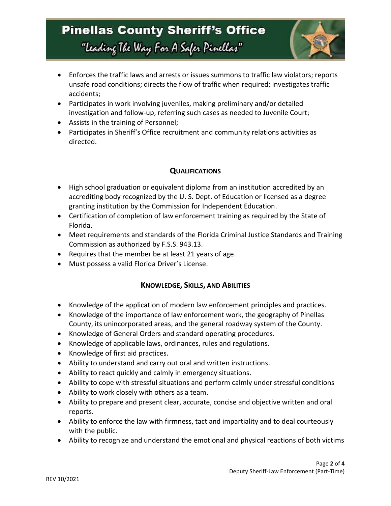## **Pinellas County Sheriff's Office** "Leading The Way For A Safer Pinellar"



- Enforces the traffic laws and arrests or issues summons to traffic law violators; reports unsafe road conditions; directs the flow of traffic when required; investigates traffic accidents;
- Participates in work involving juveniles, making preliminary and/or detailed investigation and follow-up, referring such cases as needed to Juvenile Court;
- Assists in the training of Personnel;
- Participates in Sheriff's Office recruitment and community relations activities as directed.

#### **QUALIFICATIONS**

- High school graduation or equivalent diploma from an institution accredited by an accrediting body recognized by the U. S. Dept. of Education or licensed as a degree granting institution by the Commission for Independent Education.
- Certification of completion of law enforcement training as required by the State of Florida.
- Meet requirements and standards of the Florida Criminal Justice Standards and Training Commission as authorized by F.S.S. 943.13.
- Requires that the member be at least 21 years of age.
- Must possess a valid Florida Driver's License.

#### **KNOWLEDGE, SKILLS, AND ABILITIES**

- Knowledge of the application of modern law enforcement principles and practices.
- Knowledge of the importance of law enforcement work, the geography of Pinellas County, its unincorporated areas, and the general roadway system of the County.
- Knowledge of General Orders and standard operating procedures.
- Knowledge of applicable laws, ordinances, rules and regulations.
- Knowledge of first aid practices.
- Ability to understand and carry out oral and written instructions.
- Ability to react quickly and calmly in emergency situations.
- Ability to cope with stressful situations and perform calmly under stressful conditions
- Ability to work closely with others as a team.
- Ability to prepare and present clear, accurate, concise and objective written and oral reports.
- Ability to enforce the law with firmness, tact and impartiality and to deal courteously with the public.
- Ability to recognize and understand the emotional and physical reactions of both victims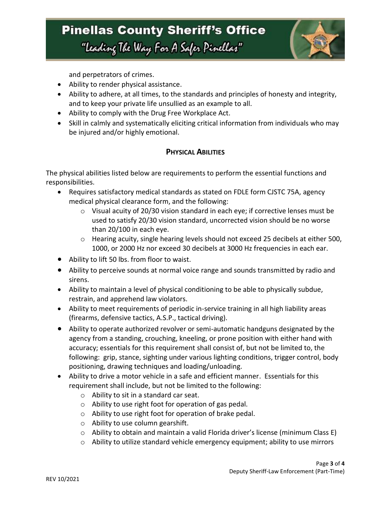## **Pinellas County Sheriff's Office** "Leading The Way For A Safer Pinellar"



and perpetrators of crimes.

- Ability to render physical assistance.
- Ability to adhere, at all times, to the standards and principles of honesty and integrity, and to keep your private life unsullied as an example to all.
- Ability to comply with the Drug Free Workplace Act.
- Skill in calmly and systematically eliciting critical information from individuals who may be injured and/or highly emotional.

#### **PHYSICAL ABILITIES**

The physical abilities listed below are requirements to perform the essential functions and responsibilities.

- Requires satisfactory medical standards as stated on FDLE form CJSTC 75A, agency medical physical clearance form, and the following:
	- o Visual acuity of 20/30 vision standard in each eye; if corrective lenses must be used to satisfy 20/30 vision standard, uncorrected vision should be no worse than 20/100 in each eye.
	- o Hearing acuity, single hearing levels should not exceed 25 decibels at either 500, 1000, or 2000 Hz nor exceed 30 decibels at 3000 Hz frequencies in each ear.
- Ability to lift 50 lbs. from floor to waist.
- Ability to perceive sounds at normal voice range and sounds transmitted by radio and sirens.
- Ability to maintain a level of physical conditioning to be able to physically subdue, restrain, and apprehend law violators.
- Ability to meet requirements of periodic in-service training in all high liability areas (firearms, defensive tactics, A.S.P., tactical driving).
- Ability to operate authorized revolver or semi-automatic handguns designated by the agency from a standing, crouching, kneeling, or prone position with either hand with accuracy; essentials for this requirement shall consist of, but not be limited to, the following: grip, stance, sighting under various lighting conditions, trigger control, body positioning, drawing techniques and loading/unloading.
- Ability to drive a motor vehicle in a safe and efficient manner. Essentials for this requirement shall include, but not be limited to the following:
	- o Ability to sit in a standard car seat.
	- o Ability to use right foot for operation of gas pedal.
	- o Ability to use right foot for operation of brake pedal.
	- o Ability to use column gearshift.
	- o Ability to obtain and maintain a valid Florida driver's license (minimum Class E)
	- $\circ$  Ability to utilize standard vehicle emergency equipment; ability to use mirrors